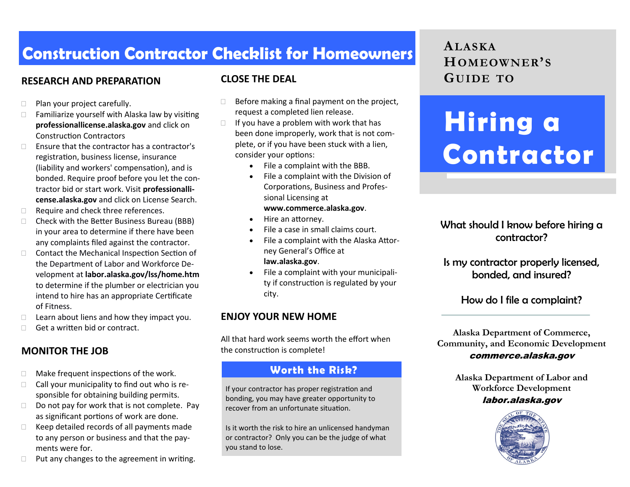# **Construction Contractor Checklist for Homeowners**

## **RESEARCH AND PREPARATION GUIDE TO**

- □ Plan your project carefully.
- $\Box$  Familiarize yourself with Alaska law by visiting **professionallicense.alaska.gov** and click on Construction Contractors
- $\Box$  Finsure that the contractor has a contractor's registration, business license, insurance (liability and workers' compensation), and is bonded. Require proof before you let the contractor bid or start work. Visit **professionallicense.alaska.gov** and click on License Search.
- □ Require and check three references.
- $\Box$  Check with the Better Business Bureau (BBB) in your area to determine if there have been any complaints filed against the contractor.
- □ Contact the Mechanical Inspection Section of the Department of Labor and Workforce Development at **labor.alaska.gov/lss/home.htm**  to determine if the plumber or electrician you intend to hire has an appropriate Certificate of Fitness.
- $\Box$  Learn about liens and how they impact you.
- $\Box$  Get a written bid or contract.

#### **MONITOR THE JOB**

- $\Box$  Make frequent inspections of the work.
- $\Box$  Call your municipality to find out who is responsible for obtaining building permits.
- $\Box$  Do not pay for work that is not complete. Pay as significant portions of work are done.
- $\Box$  Keep detailed records of all payments made to any person or business and that the payments were for.
- $\Box$  Put any changes to the agreement in writing.

#### **CLOSE THE DEAL**

- $\Box$  Before making a final payment on the project, request a completed lien release.
- $\Box$  If you have a problem with work that has been done improperly, work that is not complete, or if you have been stuck with a lien, consider your options:
	- File a complaint with the BBB.
	- File a complaint with the Division of Corporations, Business and Professional Licensing at **www.commerce.alaska.gov**.
	- Hire an attorney.
	- File a case in small claims court.
	- File a complaint with the Alaska Attorney General's Office at **law.alaska.gov**.
	- File a complaint with your municipality if construction is regulated by your city.

#### **ENJOY YOUR NEW HOME**

All that hard work seems worth the effort when the construction is complete!

#### **Worth the Risk?**

If your contractor has proper registration and bonding, you may have greater opportunity to recover from an unfortunate situation.

Is it worth the risk to hire an unlicensed handyman or contractor? Only you can be the judge of what you stand to lose.

# **ALASKA HOMEOWNER' S**

# **Hiring a Contractor**

#### What should I know before hiring a contractor?

Is my contractor properly licensed, bonded, and insured?

#### How do I file a complaint?

**Alaska Department of Commerce, Community, and Economic Development** commerce.alaska.gov

> **Alaska Department of Labor and Workforce Development** labor.alaska.gov